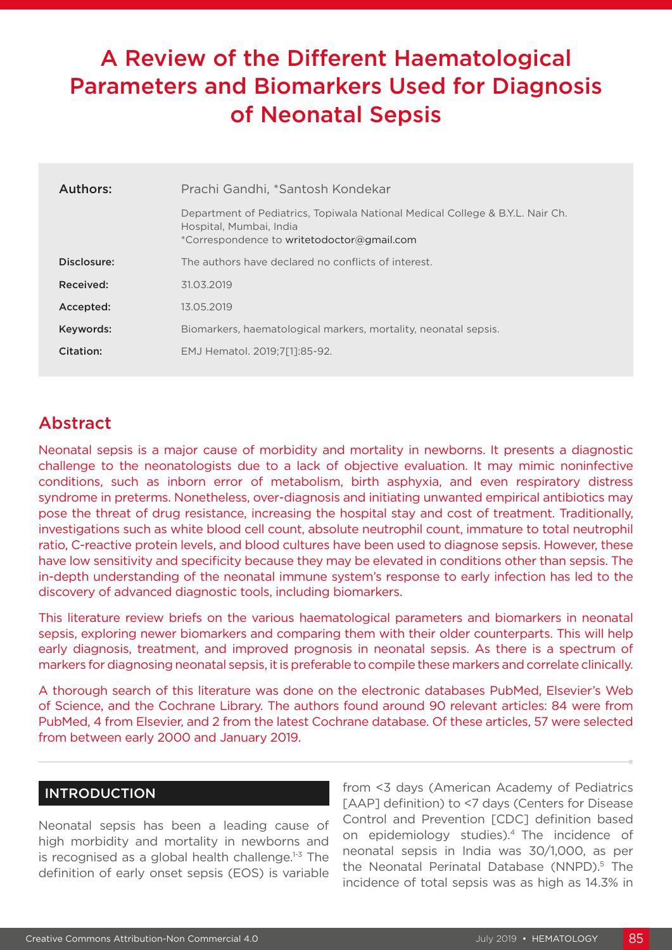# A Review of the Different Haematological Parameters and Biomarkers Used for Diagnosis of Neonatal Sepsis

| Authors:    | Prachi Gandhi, *Santosh Kondekar                                                                                                                       |  |
|-------------|--------------------------------------------------------------------------------------------------------------------------------------------------------|--|
|             | Department of Pediatrics, Topiwala National Medical College & B.Y.L. Nair Ch.<br>Hospital, Mumbai, India<br>*Correspondence to writetodoctor@gmail.com |  |
| Disclosure: | The authors have declared no conflicts of interest.                                                                                                    |  |
| Received:   | 31.03.2019                                                                                                                                             |  |
| Accepted:   | 13.05.2019                                                                                                                                             |  |
| Keywords:   | Biomarkers, haematological markers, mortality, neonatal sepsis.                                                                                        |  |
| Citation:   | EMJ Hematol. 2019:7[11:85-92.                                                                                                                          |  |

## Abstract

Neonatal sepsis is a major cause of morbidity and mortality in newborns. It presents a diagnostic challenge to the neonatologists due to a lack of objective evaluation. It may mimic noninfective conditions, such as inborn error of metabolism, birth asphyxia, and even respiratory distress syndrome in preterms. Nonetheless, over-diagnosis and initiating unwanted empirical antibiotics may pose the threat of drug resistance, increasing the hospital stay and cost of treatment. Traditionally, investigations such as white blood cell count, absolute neutrophil count, immature to total neutrophil ratio, C-reactive protein levels, and blood cultures have been used to diagnose sepsis. However, these have low sensitivity and specificity because they may be elevated in conditions other than sepsis. The in-depth understanding of the neonatal immune system's response to early infection has led to the discovery of advanced diagnostic tools, including biomarkers.

This literature review briefs on the various haematological parameters and biomarkers in neonatal sepsis, exploring newer biomarkers and comparing them with their older counterparts. This will help early diagnosis, treatment, and improved prognosis in neonatal sepsis. As there is a spectrum of markers for diagnosing neonatal sepsis, it is preferable to compile these markers and correlate clinically.

A thorough search of this literature was done on the electronic databases PubMed, Elsevier's Web of Science, and the Cochrane Library. The authors found around 90 relevant articles: 84 were from PubMed, 4 from Elsevier, and 2 from the latest Cochrane database. Of these articles, 57 were selected from between early 2000 and January 2019.

#### INTRODUCTION

Neonatal sepsis has been a leading cause of high morbidity and mortality in newborns and is recognised as a global health challenge. $1-3$  The definition of early onset sepsis (EOS) is variable from <3 days (American Academy of Pediatrics [AAP] definition) to <7 days (Centers for Disease Control and Prevention [CDC] definition based on epidemiology studies).4 The incidence of neonatal sepsis in India was 30/1,000, as per the Neonatal Perinatal Database (NNPD).<sup>5</sup> The incidence of total sepsis was as high as 14.3% in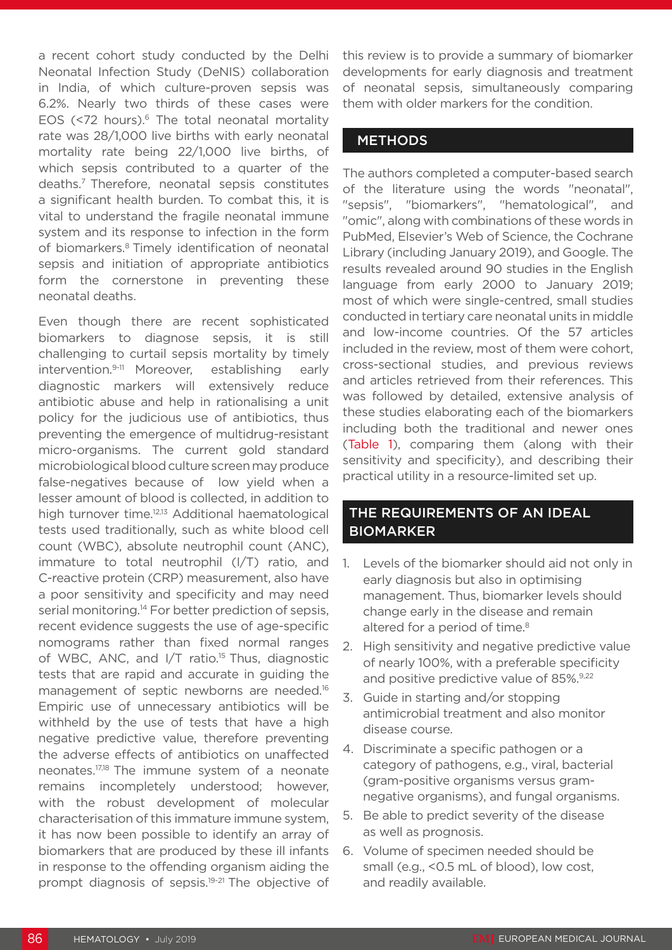a recent cohort study conducted by the Delhi Neonatal Infection Study (DeNIS) collaboration in India, of which culture-proven sepsis was 6.2%. Nearly two thirds of these cases were EOS (<72 hours). $6$  The total neonatal mortality rate was 28/1,000 live births with early neonatal mortality rate being 22/1,000 live births, of which sepsis contributed to a quarter of the deaths.7 Therefore, neonatal sepsis constitutes a significant health burden. To combat this, it is vital to understand the fragile neonatal immune system and its response to infection in the form of biomarkers.8 Timely identification of neonatal sepsis and initiation of appropriate antibiotics form the cornerstone in preventing these neonatal deaths.

Even though there are recent sophisticated biomarkers to diagnose sepsis, it is still challenging to curtail sepsis mortality by timely intervention.9-11 Moreover, establishing early diagnostic markers will extensively reduce antibiotic abuse and help in rationalising a unit policy for the judicious use of antibiotics, thus preventing the emergence of multidrug-resistant micro-organisms. The current gold standard microbiological blood culture screen may produce false-negatives because of low yield when a lesser amount of blood is collected, in addition to high turnover time.<sup>12,13</sup> Additional haematological tests used traditionally, such as white blood cell count (WBC), absolute neutrophil count (ANC), immature to total neutrophil (I/T) ratio, and C-reactive protein (CRP) measurement, also have a poor sensitivity and specificity and may need serial monitoring.<sup>14</sup> For better prediction of sepsis, recent evidence suggests the use of age-specific nomograms rather than fixed normal ranges of WBC, ANC, and I/T ratio.15 Thus, diagnostic tests that are rapid and accurate in guiding the management of septic newborns are needed.<sup>16</sup> Empiric use of unnecessary antibiotics will be withheld by the use of tests that have a high negative predictive value, therefore preventing the adverse effects of antibiotics on unaffected neonates.17,18 The immune system of a neonate remains incompletely understood; however, with the robust development of molecular characterisation of this immature immune system, it has now been possible to identify an array of biomarkers that are produced by these ill infants in response to the offending organism aiding the prompt diagnosis of sepsis.19-21 The objective of

this review is to provide a summary of biomarker developments for early diagnosis and treatment of neonatal sepsis, simultaneously comparing them with older markers for the condition.

#### **METHODS**

The authors completed a computer-based search of the literature using the words "neonatal", "sepsis", "biomarkers", "hematological", and "omic", along with combinations of these words in PubMed, Elsevier's Web of Science, the Cochrane Library (including January 2019), and Google. The results revealed around 90 studies in the English language from early 2000 to January 2019; most of which were single-centred, small studies conducted in tertiary care neonatal units in middle and low-income countries. Of the 57 articles included in the review, most of them were cohort, cross-sectional studies, and previous reviews and articles retrieved from their references. This was followed by detailed, extensive analysis of these studies elaborating each of the biomarkers including both the traditional and newer ones (Table 1), comparing them (along with their sensitivity and specificity), and describing their practical utility in a resource-limited set up.

### THE REQUIREMENTS OF AN IDEAL **BIOMARKER**

- 1. Levels of the biomarker should aid not only in early diagnosis but also in optimising management. Thus, biomarker levels should change early in the disease and remain altered for a period of time.<sup>8</sup>
- 2. High sensitivity and negative predictive value of nearly 100%, with a preferable specificity and positive predictive value of 85%.<sup>9,22</sup>
- 3. Guide in starting and/or stopping antimicrobial treatment and also monitor disease course.
- 4. Discriminate a specific pathogen or a category of pathogens, e.g., viral, bacterial (gram-positive organisms versus gramnegative organisms), and fungal organisms.
- 5. Be able to predict severity of the disease as well as prognosis.
- 6. Volume of specimen needed should be small (e.g., <0.5 mL of blood), low cost, and readily available.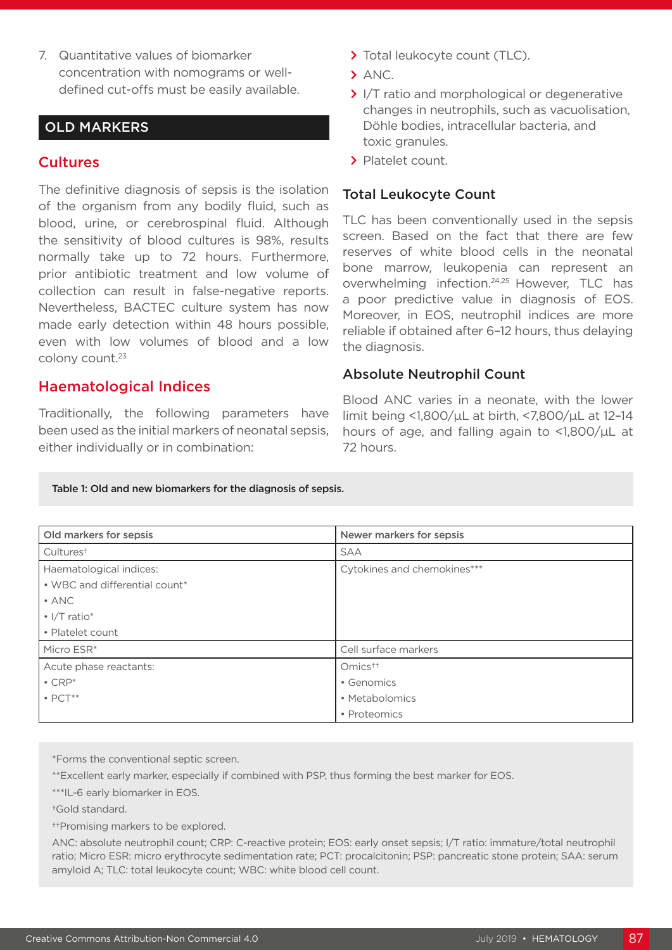7. Quantitative values of biomarker concentration with nomograms or welldefined cut-offs must be easily available.

#### OLD MARKERS

#### **Cultures**

The definitive diagnosis of sepsis is the isolation of the organism from any bodily fluid, such as blood, urine, or cerebrospinal fluid. Although the sensitivity of blood cultures is 98%, results normally take up to 72 hours. Furthermore, prior antibiotic treatment and low volume of collection can result in false-negative reports. Nevertheless, BACTEC culture system has now made early detection within 48 hours possible, even with low volumes of blood and a low colony count.23

#### Haematological Indices

Traditionally, the following parameters have been used as the initial markers of neonatal sepsis, either individually or in combination:

- **>** Total leukocyte count (TLC).
- **>** ANC.
- **>** I/T ratio and morphological or degenerative changes in neutrophils, such as vacuolisation, Döhle bodies, intracellular bacteria, and toxic granules.
- **>** Platelet count.

#### Total Leukocyte Count

TLC has been conventionally used in the sepsis screen. Based on the fact that there are few reserves of white blood cells in the neonatal bone marrow, leukopenia can represent an overwhelming infection.24,25 However, TLC has a poor predictive value in diagnosis of EOS. Moreover, in EOS, neutrophil indices are more reliable if obtained after 6–12 hours, thus delaying the diagnosis.

#### Absolute Neutrophil Count

Blood ANC varies in a neonate, with the lower limit being <1,800/µL at birth, <7,800/µL at 12–14 hours of age, and falling again to <1,800/µL at 72 hours.

#### Table 1: Old and new biomarkers for the diagnosis of sepsis.

| Old markers for sepsis         | Newer markers for sepsis    |  |
|--------------------------------|-----------------------------|--|
| Cultures <sup>+</sup>          | SAA                         |  |
| Haematological indices:        | Cytokines and chemokines*** |  |
| • WBC and differential count*  |                             |  |
| $\cdot$ ANC                    |                             |  |
| $\cdot$ I/T ratio <sup>*</sup> |                             |  |
| • Platelet count               |                             |  |
| Micro ESR*                     | Cell surface markers        |  |
| Acute phase reactants:         | $Omics++$                   |  |
| $\cdot$ CRP*                   | • Genomics                  |  |
| $\bullet$ PCT $^{**}$          | • Metabolomics              |  |
|                                | • Proteomics                |  |

\*Forms the conventional septic screen.

\*\*Excellent early marker, especially if combined with PSP, thus forming the best marker for EOS.

\*\*\*IL-6 early biomarker in EOS.

†Gold standard.

††Promising markers to be explored.

ANC: absolute neutrophil count; CRP: C-reactive protein; EOS: early onset sepsis; I/T ratio: immature/total neutrophil ratio; Micro ESR: micro erythrocyte sedimentation rate; PCT: procalcitonin; PSP: pancreatic stone protein; SAA: serum amyloid A; TLC: total leukocyte count; WBC: white blood cell count.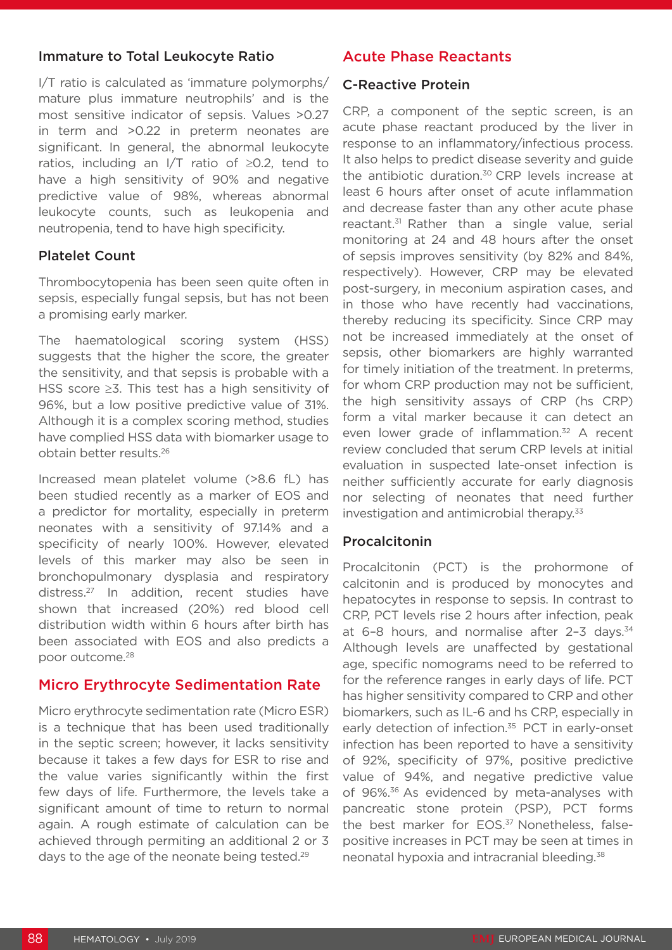#### Immature to Total Leukocyte Ratio

I/T ratio is calculated as 'immature polymorphs/ mature plus immature neutrophils' and is the most sensitive indicator of sepsis. Values >0.27 in term and >0.22 in preterm neonates are significant. In general, the abnormal leukocyte ratios, including an I/T ratio of ≥0.2, tend to have a high sensitivity of 90% and negative predictive value of 98%, whereas abnormal leukocyte counts, such as leukopenia and neutropenia, tend to have high specificity.

#### Platelet Count

Thrombocytopenia has been seen quite often in sepsis, especially fungal sepsis, but has not been a promising early marker.

The haematological scoring system (HSS) suggests that the higher the score, the greater the sensitivity, and that sepsis is probable with a HSS score ≥3. This test has a high sensitivity of 96%, but a low positive predictive value of 31%. Although it is a complex scoring method, studies have complied HSS data with biomarker usage to obtain better results.26

Increased mean platelet volume (>8.6 fL) has been studied recently as a marker of EOS and a predictor for mortality, especially in preterm neonates with a sensitivity of 97.14% and a specificity of nearly 100%. However, elevated levels of this marker may also be seen in bronchopulmonary dysplasia and respiratory distress.27 In addition, recent studies have shown that increased (20%) red blood cell distribution width within 6 hours after birth has been associated with EOS and also predicts a poor outcome.28

#### Micro Erythrocyte Sedimentation Rate

Micro erythrocyte sedimentation rate (Micro ESR) is a technique that has been used traditionally in the septic screen; however, it lacks sensitivity because it takes a few days for ESR to rise and the value varies significantly within the first few days of life. Furthermore, the levels take a significant amount of time to return to normal again. A rough estimate of calculation can be achieved through permiting an additional 2 or 3 days to the age of the neonate being tested.29

## Acute Phase Reactants

#### C-Reactive Protein

CRP, a component of the septic screen, is an acute phase reactant produced by the liver in response to an inflammatory/infectious process. It also helps to predict disease severity and guide the antibiotic duration.<sup>30</sup> CRP levels increase at least 6 hours after onset of acute inflammation and decrease faster than any other acute phase reactant.31 Rather than a single value, serial monitoring at 24 and 48 hours after the onset of sepsis improves sensitivity (by 82% and 84%, respectively). However, CRP may be elevated post-surgery, in meconium aspiration cases, and in those who have recently had vaccinations, thereby reducing its specificity. Since CRP may not be increased immediately at the onset of sepsis, other biomarkers are highly warranted for timely initiation of the treatment. In preterms, for whom CRP production may not be sufficient, the high sensitivity assays of CRP (hs CRP) form a vital marker because it can detect an even lower grade of inflammation.<sup>32</sup> A recent review concluded that serum CRP levels at initial evaluation in suspected late-onset infection is neither sufficiently accurate for early diagnosis nor selecting of neonates that need further investigation and antimicrobial therapy.<sup>33</sup>

#### Procalcitonin

Procalcitonin (PCT) is the prohormone of calcitonin and is produced by monocytes and hepatocytes in response to sepsis. In contrast to CRP, PCT levels rise 2 hours after infection, peak at 6-8 hours, and normalise after 2-3 days.<sup>34</sup> Although levels are unaffected by gestational age, specific nomograms need to be referred to for the reference ranges in early days of life. PCT has higher sensitivity compared to CRP and other biomarkers, such as IL-6 and hs CRP, especially in early detection of infection.<sup>35</sup> PCT in early-onset infection has been reported to have a sensitivity of 92%, specificity of 97%, positive predictive value of 94%, and negative predictive value of 96%.<sup>36</sup> As evidenced by meta-analyses with pancreatic stone protein (PSP), PCT forms the best marker for EOS.<sup>37</sup> Nonetheless, falsepositive increases in PCT may be seen at times in neonatal hypoxia and intracranial bleeding.38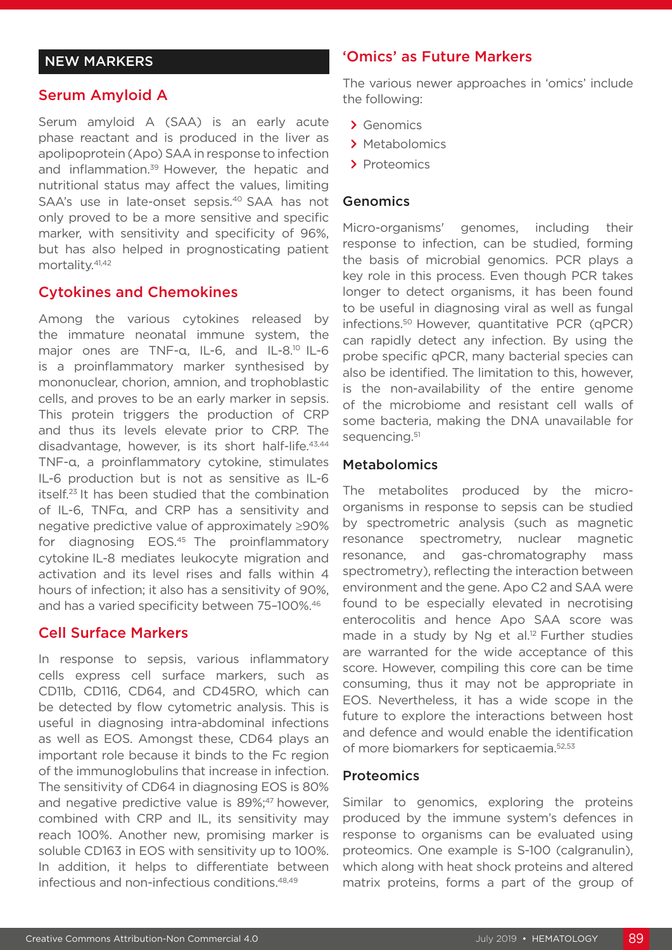#### NEW MARKERS

#### Serum Amyloid A

Serum amyloid A (SAA) is an early acute phase reactant and is produced in the liver as apolipoprotein (Apo) SAA in response to infection and inflammation.<sup>39</sup> However, the hepatic and nutritional status may affect the values, limiting SAA's use in late-onset sepsis.<sup>40</sup> SAA has not only proved to be a more sensitive and specific marker, with sensitivity and specificity of 96%, but has also helped in prognosticating patient mortality.<sup>41,42</sup>

#### Cytokines and Chemokines

Among the various cytokines released by the immature neonatal immune system, the major ones are TNF-α, IL-6, and IL-8.<sup>10</sup> IL-6 is a proinflammatory marker synthesised by mononuclear, chorion, amnion, and trophoblastic cells, and proves to be an early marker in sepsis. This protein triggers the production of CRP and thus its levels elevate prior to CRP. The disadvantage, however, is its short half-life.<sup>43,44</sup> TNF-α, a proinflammatory cytokine, stimulates IL-6 production but is not as sensitive as IL-6 itself.23 It has been studied that the combination of IL-6, TNFα, and CRP has a sensitivity and negative predictive value of approximately ≥90% for diagnosing EOS.45 The proinflammatory cytokine IL-8 mediates leukocyte migration and activation and its level rises and falls within 4 hours of infection; it also has a sensitivity of 90%, and has a varied specificity between 75–100%.46

#### Cell Surface Markers

In response to sepsis, various inflammatory cells express cell surface markers, such as CD11b, CD116, CD64, and CD45RO, which can be detected by flow cytometric analysis. This is useful in diagnosing intra-abdominal infections as well as EOS. Amongst these, CD64 plays an important role because it binds to the Fc region of the immunoglobulins that increase in infection. The sensitivity of CD64 in diagnosing EOS is 80% and negative predictive value is 89%;<sup>47</sup> however, combined with CRP and IL, its sensitivity may reach 100%. Another new, promising marker is soluble CD163 in EOS with sensitivity up to 100%. In addition, it helps to differentiate between infectious and non-infectious conditions.48,49

#### 'Omics' as Future Markers

The various newer approaches in 'omics' include the following:

- **>** Genomics
- **>** Metabolomics
- **>** Proteomics

#### Genomics

Micro-organisms' genomes, including their response to infection, can be studied, forming the basis of microbial genomics. PCR plays a key role in this process. Even though PCR takes longer to detect organisms, it has been found to be useful in diagnosing viral as well as fungal infections.50 However, quantitative PCR (qPCR) can rapidly detect any infection. By using the probe specific qPCR, many bacterial species can also be identified. The limitation to this, however, is the non-availability of the entire genome of the microbiome and resistant cell walls of some bacteria, making the DNA unavailable for sequencing.<sup>51</sup>

#### Metabolomics

The metabolites produced by the microorganisms in response to sepsis can be studied by spectrometric analysis (such as magnetic resonance spectrometry, nuclear magnetic resonance, and gas-chromatography mass spectrometry), reflecting the interaction between environment and the gene. Apo C2 and SAA were found to be especially elevated in necrotising enterocolitis and hence Apo SAA score was made in a study by Ng et al.<sup>12</sup> Further studies are warranted for the wide acceptance of this score. However, compiling this core can be time consuming, thus it may not be appropriate in EOS. Nevertheless, it has a wide scope in the future to explore the interactions between host and defence and would enable the identification of more biomarkers for septicaemia.52,53

#### **Proteomics**

Similar to genomics, exploring the proteins produced by the immune system's defences in response to organisms can be evaluated using proteomics. One example is S-100 (calgranulin), which along with heat shock proteins and altered matrix proteins, forms a part of the group of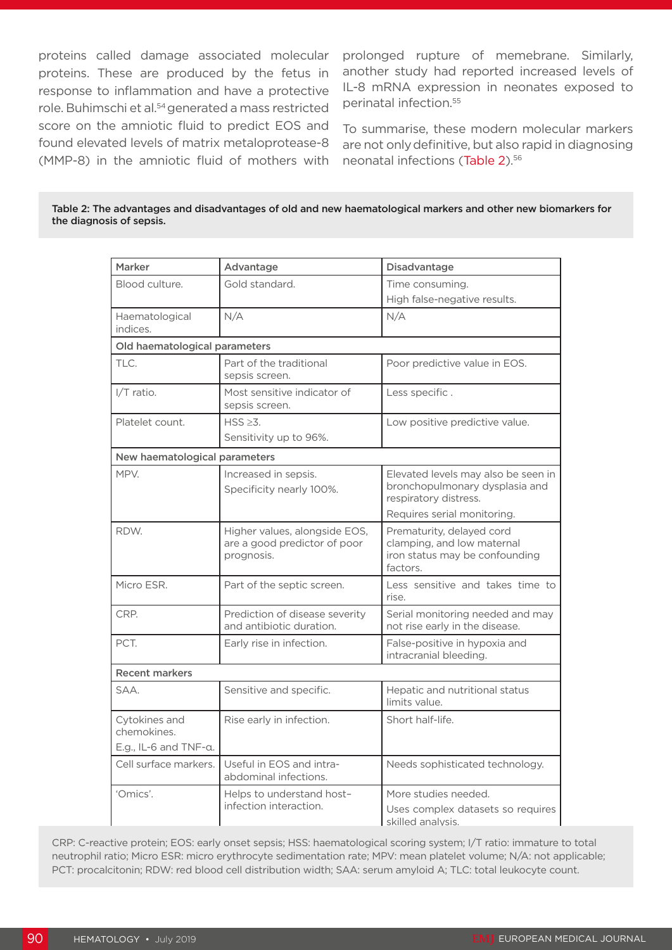proteins called damage associated molecular proteins. These are produced by the fetus in response to inflammation and have a protective role. Buhimschi et al.54 generated a mass restricted score on the amniotic fluid to predict EOS and found elevated levels of matrix metaloprotease-8 (MMP-8) in the amniotic fluid of mothers with

prolonged rupture of memebrane. Similarly, another study had reported increased levels of IL-8 mRNA expression in neonates exposed to perinatal infection.55

To summarise, these modern molecular markers are not onlydefinitive, but also rapid in diagnosing neonatal infections (Table 2).56

| Table 2: The advantages and disadvantages of old and new haematological markers and other new biomarkers for |
|--------------------------------------------------------------------------------------------------------------|
| the diagnosis of sepsis.                                                                                     |

| <b>Marker</b>                     |                                |                                                                       |  |  |
|-----------------------------------|--------------------------------|-----------------------------------------------------------------------|--|--|
|                                   | Advantage                      | Disadvantage                                                          |  |  |
| Blood culture.                    | Gold standard.                 | Time consuming.                                                       |  |  |
|                                   |                                | High false-negative results.                                          |  |  |
| Haematological                    | N/A                            | N/A                                                                   |  |  |
| indices.                          |                                |                                                                       |  |  |
| Old haematological parameters     |                                |                                                                       |  |  |
| TLC.                              | Part of the traditional        | Poor predictive value in EOS.                                         |  |  |
|                                   | sepsis screen.                 |                                                                       |  |  |
| I/T ratio.                        | Most sensitive indicator of    | Less specific.                                                        |  |  |
|                                   | sepsis screen.                 |                                                                       |  |  |
| Platelet count.                   | $HSS \ge 3$ .                  | Low positive predictive value.                                        |  |  |
|                                   | Sensitivity up to 96%.         |                                                                       |  |  |
| New haematological parameters     |                                |                                                                       |  |  |
|                                   |                                |                                                                       |  |  |
| MPV.                              | Increased in sepsis.           | Elevated levels may also be seen in<br>bronchopulmonary dysplasia and |  |  |
|                                   | Specificity nearly 100%.       | respiratory distress.                                                 |  |  |
|                                   |                                | Requires serial monitoring.                                           |  |  |
| RDW.                              | Higher values, alongside EOS,  | Prematurity, delayed cord                                             |  |  |
|                                   | are a good predictor of poor   | clamping, and low maternal                                            |  |  |
|                                   | prognosis.                     | iron status may be confounding                                        |  |  |
|                                   |                                | factors.                                                              |  |  |
| Micro ESR.                        | Part of the septic screen.     | Less sensitive and takes time to                                      |  |  |
|                                   |                                | rise.                                                                 |  |  |
| CRP.                              | Prediction of disease severity | Serial monitoring needed and may                                      |  |  |
|                                   | and antibiotic duration.       | not rise early in the disease.                                        |  |  |
| PCT.                              | Early rise in infection.       | False-positive in hypoxia and                                         |  |  |
|                                   |                                | intracranial bleeding.                                                |  |  |
| <b>Recent markers</b>             |                                |                                                                       |  |  |
| SAA.                              | Sensitive and specific.        | Hepatic and nutritional status                                        |  |  |
|                                   |                                | limits value.                                                         |  |  |
| Cytokines and                     | Rise early in infection.       | Short half-life.                                                      |  |  |
| chemokines.                       |                                |                                                                       |  |  |
| E.g., IL-6 and $TNF$ - $\alpha$ . |                                |                                                                       |  |  |
| Cell surface markers.             | Useful in EOS and intra-       | Needs sophisticated technology.                                       |  |  |
|                                   | abdominal infections.          |                                                                       |  |  |
| 'Omics'.                          | Helps to understand host-      | More studies needed.                                                  |  |  |
|                                   | infection interaction.         | Uses complex datasets so requires                                     |  |  |
|                                   |                                | skilled analysis.                                                     |  |  |

CRP: C-reactive protein; EOS: early onset sepsis; HSS: haematological scoring system; I/T ratio: immature to total neutrophil ratio; Micro ESR: micro erythrocyte sedimentation rate; MPV: mean platelet volume; N/A: not applicable; PCT: procalcitonin; RDW: red blood cell distribution width; SAA: serum amyloid A; TLC: total leukocyte count.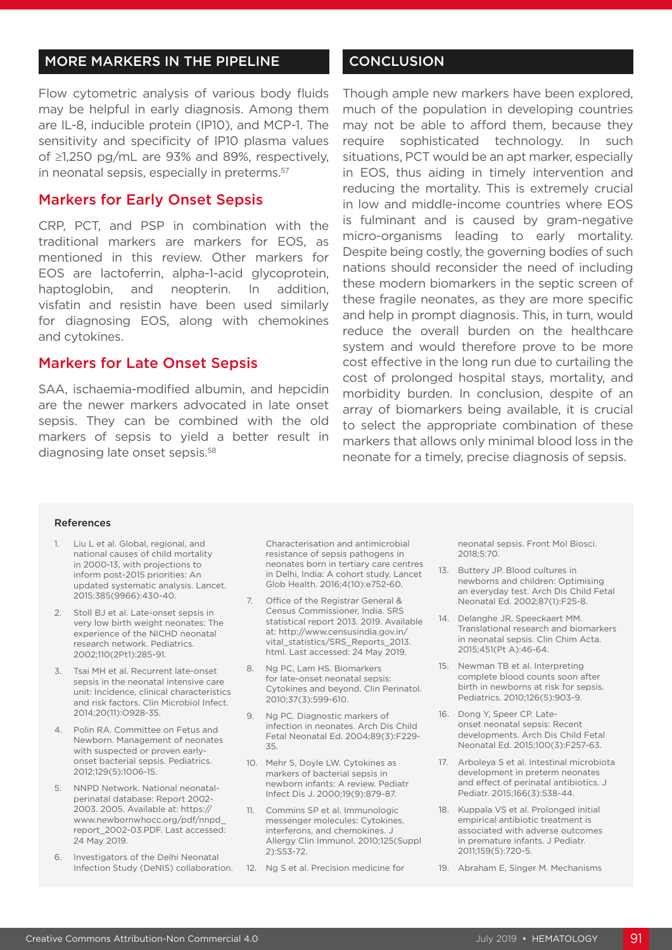#### MORE MARKERS IN THE PIPELINE

Flow cytometric analysis of various body fluids may be helpful in early diagnosis. Among them are IL-8, inducible protein (IP10), and MCP-1. The sensitivity and specificity of IP10 plasma values of ≥1,250 pg/mL are 93% and 89%, respectively, in neonatal sepsis, especially in preterms.<sup>57</sup>

#### Markers for Early Onset Sepsis

CRP, PCT, and PSP in combination with the traditional markers are markers for EOS, as mentioned in this review. Other markers for EOS are lactoferrin, alpha-1-acid glycoprotein, haptoglobin, and neopterin. In addition, visfatin and resistin have been used similarly for diagnosing EOS, along with chemokines and cytokines.

#### Markers for Late Onset Sepsis

SAA, ischaemia-modified albumin, and hepcidin are the newer markers advocated in late onset sepsis. They can be combined with the old markers of sepsis to yield a better result in diagnosing late onset sepsis.58

#### **CONCLUSION**

Though ample new markers have been explored, much of the population in developing countries may not be able to afford them, because they require sophisticated technology. In such situations, PCT would be an apt marker, especially in EOS, thus aiding in timely intervention and reducing the mortality. This is extremely crucial in low and middle-income countries where EOS is fulminant and is caused by gram-negative micro-organisms leading to early mortality. Despite being costly, the governing bodies of such nations should reconsider the need of including these modern biomarkers in the septic screen of these fragile neonates, as they are more specific and help in prompt diagnosis. This, in turn, would reduce the overall burden on the healthcare system and would therefore prove to be more cost effective in the long run due to curtailing the cost of prolonged hospital stays, mortality, and morbidity burden. In conclusion, despite of an array of biomarkers being available, it is crucial to select the appropriate combination of these markers that allows only minimal blood loss in the neonate for a timely, precise diagnosis of sepsis.

#### References

- 1. Liu L et al. Global, regional, and national causes of child mortality in 2000-13, with projections to inform post-2015 priorities: An updated systematic analysis. Lancet. 2015:385(9966):430-40.
- 2. Stoll BJ et al. Late-onset sepsis in very low birth weight neonates: The experience of the NICHD neonatal research network. Pediatrics. 2002;110(2Pt1):285-91.
- 3. Tsai MH et al. Recurrent late-onset sepsis in the neonatal intensive care unit: Incidence, clinical characteristics and risk factors. Clin Microbiol Infect. 2014;20(11):O928-35.
- 4. Polin RA. Committee on Fetus and Newborn. Management of neonates with suspected or proven earlyonset bacterial sepsis. Pediatrics. 2012;129(5):1006-15.
- 5. NNPD Network. National neonatalperinatal database: Report 2002- 2003. 2005. Available at: https:// www.newbornwhocc.org/pdf/nnpd\_ report\_2002-03.PDF. Last accessed: 24 May 2019.
- 6. Investigators of the Delhi Neonatal Infection Study (DeNIS) collaboration.

Characterisation and antimicrobial resistance of sepsis pathogens in neonates born in tertiary care centres in Delhi, India: A cohort study. Lancet Glob Health. 2016;4(10):e752-60.

- 7. Office of the Registrar General & Census Commissioner, India. SRS statistical report 2013. 2019. Available at: http://www.censusindia.gov.in/ vital\_statistics/SRS\_Reports\_2013. html. Last accessed: 24 May 2019.
- 8. Ng PC, Lam HS. Biomarkers for late-onset neonatal sepsis: Cytokines and beyond. Clin Perinatol. 2010;37(3):599-610.
- 9. Ng PC. Diagnostic markers of infection in neonates. Arch Dis Child Fetal Neonatal Ed. 2004;89(3):F229- 35.
- 10. Mehr S, Doyle LW. Cytokines as markers of bacterial sepsis in newborn infants: A review. Pediatr Infect Dis J. 2000;19(9):879-87.
- 11. Commins SP et al. Immunologic messenger molecules: Cytokines, interferons, and chemokines. J Allergy Clin Immunol. 2010;125(Suppl 2):S53-72.
- 12. Ng S et al. Precision medicine for

neonatal sepsis. Front Mol Biosci. 2018;5:70.

- 13. Buttery JP. Blood cultures in newborns and children: Optimising an everyday test. Arch Dis Child Fetal Neonatal Ed. 2002;87(1):F25-8.
- 14. Delanghe JR, Speeckaert MM. Translational research and biomarkers in neonatal sepsis. Clin Chim Acta. 2015;451(Pt A):46-64.
- 15. Newman TB et al. Interpreting complete blood counts soon after birth in newborns at risk for sepsis. Pediatrics. 2010;126(5):903-9.
- 16. Dong Y, Speer CP. Lateonset neonatal sepsis: Recent developments. Arch Dis Child Fetal Neonatal Ed. 2015;100(3):F257-63.
- 17. Arboleya S et al. Intestinal microbiota development in preterm neonates and effect of perinatal antibiotics. J Pediatr. 2015;166(3):538-44.
- 18. Kuppala VS et al. Prolonged initial empirical antibiotic treatment is associated with adverse outcomes in premature infants. J Pediatr. 2011;159(5):720-5.
- 19. Abraham E, Singer M. Mechanisms